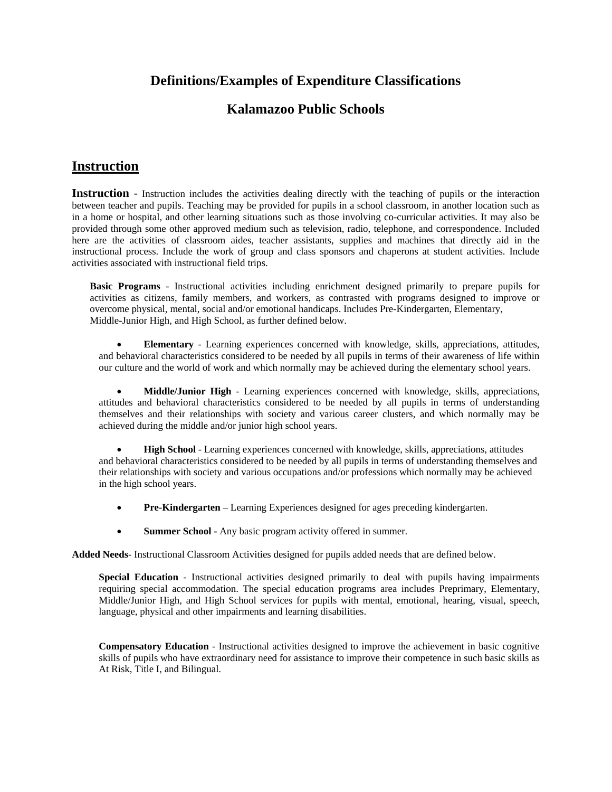#### **Definitions/Examples of Expenditure Classifications**

### **Kalamazoo Public Schools**

#### **Instruction**

**Instruction** - Instruction includes the activities dealing directly with the teaching of pupils or the interaction between teacher and pupils. Teaching may be provided for pupils in a school classroom, in another location such as in a home or hospital, and other learning situations such as those involving co-curricular activities. It may also be provided through some other approved medium such as television, radio, telephone, and correspondence. Included here are the activities of classroom aides, teacher assistants, supplies and machines that directly aid in the instructional process. Include the work of group and class sponsors and chaperons at student activities. Include activities associated with instructional field trips.

**Basic Programs** - Instructional activities including enrichment designed primarily to prepare pupils for activities as citizens, family members, and workers, as contrasted with programs designed to improve or overcome physical, mental, social and/or emotional handicaps. Includes Pre-Kindergarten, Elementary, Middle-Junior High, and High School, as further defined below.

• **Elementary** - Learning experiences concerned with knowledge, skills, appreciations, attitudes, and behavioral characteristics considered to be needed by all pupils in terms of their awareness of life within our culture and the world of work and which normally may be achieved during the elementary school years.

• **Middle/Junior High** - Learning experiences concerned with knowledge, skills, appreciations, attitudes and behavioral characteristics considered to be needed by all pupils in terms of understanding themselves and their relationships with society and various career clusters, and which normally may be achieved during the middle and/or junior high school years.

• **High School** - Learning experiences concerned with knowledge, skills, appreciations, attitudes and behavioral characteristics considered to be needed by all pupils in terms of understanding themselves and their relationships with society and various occupations and/or professions which normally may be achieved in the high school years.

- **Pre-Kindergarten** Learning Experiences designed for ages preceding kindergarten.
- **Summer School -** Any basic program activity offered in summer.

**Added Needs**- Instructional Classroom Activities designed for pupils added needs that are defined below.

**Special Education** - Instructional activities designed primarily to deal with pupils having impairments requiring special accommodation. The special education programs area includes Preprimary, Elementary, Middle/Junior High, and High School services for pupils with mental, emotional, hearing, visual, speech, language, physical and other impairments and learning disabilities.

**Compensatory Education** - Instructional activities designed to improve the achievement in basic cognitive skills of pupils who have extraordinary need for assistance to improve their competence in such basic skills as At Risk, Title I, and Bilingual.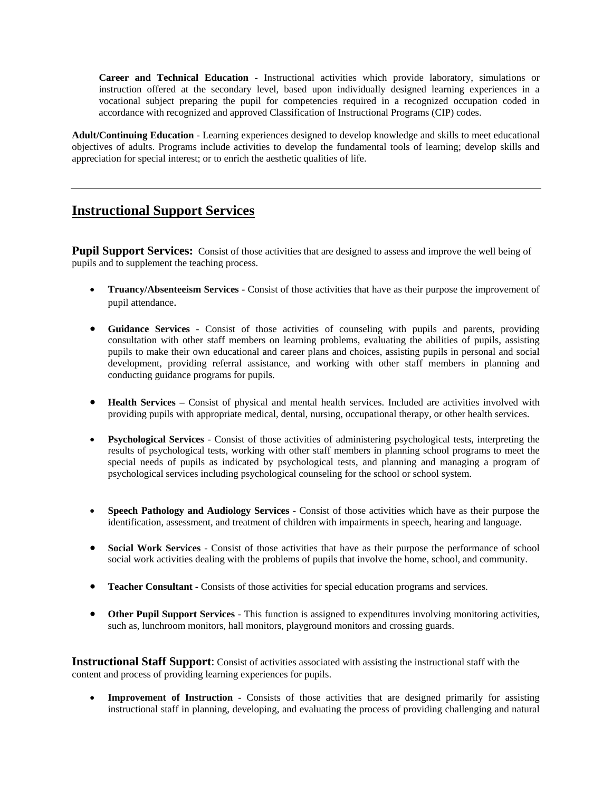**Career and Technical Education** - Instructional activities which provide laboratory, simulations or instruction offered at the secondary level, based upon individually designed learning experiences in a vocational subject preparing the pupil for competencies required in a recognized occupation coded in accordance with recognized and approved Classification of Instructional Programs (CIP) codes.

**Adult/Continuing Education** - Learning experiences designed to develop knowledge and skills to meet educational objectives of adults. Programs include activities to develop the fundamental tools of learning; develop skills and appreciation for special interest; or to enrich the aesthetic qualities of life.

# **Instructional Support Services**

**Pupil Support Services:** Consist of those activities that are designed to assess and improve the well being of pupils and to supplement the teaching process.

- **Truancy/Absenteeism Services -** Consist of those activities that have as their purpose the improvement of pupil attendance.
- **Guidance Services** Consist of those activities of counseling with pupils and parents, providing consultation with other staff members on learning problems, evaluating the abilities of pupils, assisting pupils to make their own educational and career plans and choices, assisting pupils in personal and social development, providing referral assistance, and working with other staff members in planning and conducting guidance programs for pupils.
- **Health Services –** Consist of physical and mental health services. Included are activities involved with providing pupils with appropriate medical, dental, nursing, occupational therapy, or other health services.
- **Psychological Services** Consist of those activities of administering psychological tests, interpreting the results of psychological tests, working with other staff members in planning school programs to meet the special needs of pupils as indicated by psychological tests, and planning and managing a program of psychological services including psychological counseling for the school or school system.
- **Speech Pathology and Audiology Services** Consist of those activities which have as their purpose the identification, assessment, and treatment of children with impairments in speech, hearing and language.
- **Social Work Services** Consist of those activities that have as their purpose the performance of school social work activities dealing with the problems of pupils that involve the home, school, and community.
- **Teacher Consultant -** Consists of those activities for special education programs and services.
- **Other Pupil Support Services** This function is assigned to expenditures involving monitoring activities, such as, lunchroom monitors, hall monitors, playground monitors and crossing guards.

**Instructional Staff Support**: Consist of activities associated with assisting the instructional staff with the content and process of providing learning experiences for pupils.

**Improvement of Instruction** - Consists of those activities that are designed primarily for assisting instructional staff in planning, developing, and evaluating the process of providing challenging and natural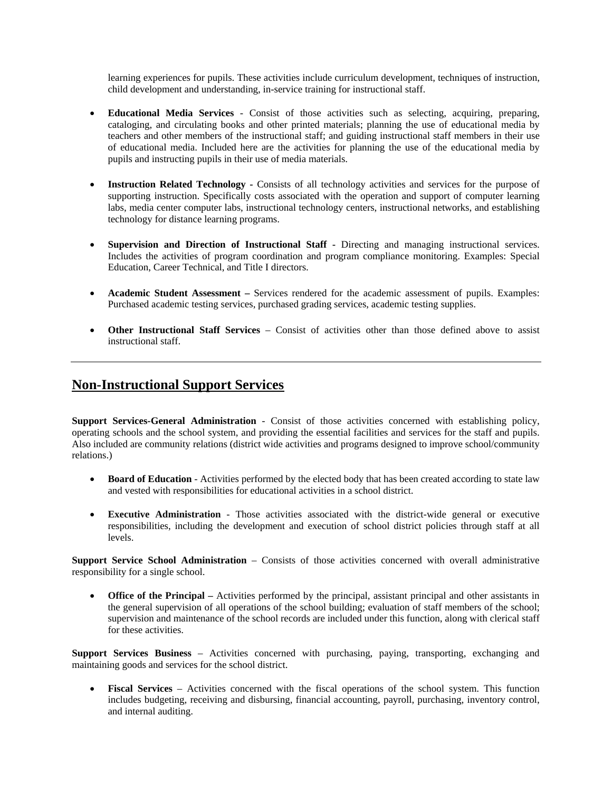learning experiences for pupils. These activities include curriculum development, techniques of instruction, child development and understanding, in-service training for instructional staff.

- **Educational Media Services** Consist of those activities such as selecting, acquiring, preparing, cataloging, and circulating books and other printed materials; planning the use of educational media by teachers and other members of the instructional staff; and guiding instructional staff members in their use of educational media. Included here are the activities for planning the use of the educational media by pupils and instructing pupils in their use of media materials.
- **Instruction Related Technology -** Consists of all technology activities and services for the purpose of supporting instruction. Specifically costs associated with the operation and support of computer learning labs, media center computer labs, instructional technology centers, instructional networks, and establishing technology for distance learning programs.
- **Supervision and Direction of Instructional Staff -** Directing and managing instructional services. Includes the activities of program coordination and program compliance monitoring. Examples: Special Education, Career Technical, and Title I directors.
- **Academic Student Assessment –** Services rendered for the academic assessment of pupils. Examples: Purchased academic testing services, purchased grading services, academic testing supplies.
- **Other Instructional Staff Services** Consist of activities other than those defined above to assist instructional staff.

### **Non-Instructional Support Services**

**Support Services-General Administration** - Consist of those activities concerned with establishing policy, operating schools and the school system, and providing the essential facilities and services for the staff and pupils. Also included are community relations (district wide activities and programs designed to improve school/community relations.)

- **Board of Education** Activities performed by the elected body that has been created according to state law and vested with responsibilities for educational activities in a school district.
- **Executive Administration** Those activities associated with the district-wide general or executive responsibilities, including the development and execution of school district policies through staff at all levels.

**Support Service School Administration** – Consists of those activities concerned with overall administrative responsibility for a single school.

**Office of the Principal –** Activities performed by the principal, assistant principal and other assistants in the general supervision of all operations of the school building; evaluation of staff members of the school; supervision and maintenance of the school records are included under this function, along with clerical staff for these activities.

**Support Services Business** – Activities concerned with purchasing, paying, transporting, exchanging and maintaining goods and services for the school district.

• **Fiscal Services** – Activities concerned with the fiscal operations of the school system. This function includes budgeting, receiving and disbursing, financial accounting, payroll, purchasing, inventory control, and internal auditing.